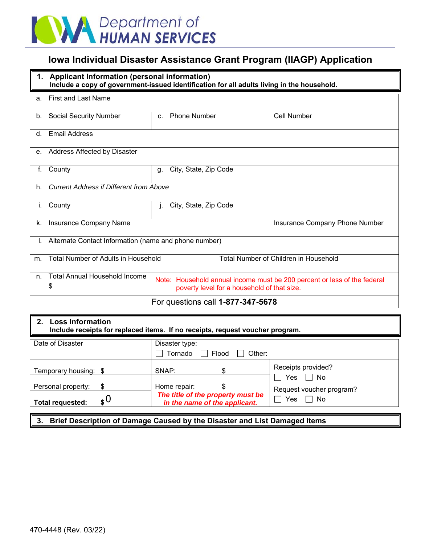

# **Iowa Individual Disaster Assistance Grant Program (IIAGP) Application**

|             | 1. Applicant Information (personal information)<br>Include a copy of government-issued identification for all adults living in the household. |                                                                                                                         |                                |  |  |  |  |  |
|-------------|-----------------------------------------------------------------------------------------------------------------------------------------------|-------------------------------------------------------------------------------------------------------------------------|--------------------------------|--|--|--|--|--|
| a.          | <b>First and Last Name</b>                                                                                                                    |                                                                                                                         |                                |  |  |  |  |  |
| b.          | <b>Social Security Number</b>                                                                                                                 | <b>Phone Number</b><br>$\mathbf{C}$                                                                                     | <b>Cell Number</b>             |  |  |  |  |  |
| $d_{\cdot}$ | <b>Email Address</b>                                                                                                                          |                                                                                                                         |                                |  |  |  |  |  |
|             | e. Address Affected by Disaster                                                                                                               |                                                                                                                         |                                |  |  |  |  |  |
| f.          | County                                                                                                                                        | City, State, Zip Code<br>g.                                                                                             |                                |  |  |  |  |  |
| h.          | <b>Current Address if Different from Above</b>                                                                                                |                                                                                                                         |                                |  |  |  |  |  |
| i.          | County                                                                                                                                        | City, State, Zip Code<br>J.                                                                                             |                                |  |  |  |  |  |
| k.          | Insurance Company Name                                                                                                                        |                                                                                                                         | Insurance Company Phone Number |  |  |  |  |  |
|             | Alternate Contact Information (name and phone number)                                                                                         |                                                                                                                         |                                |  |  |  |  |  |
| m.          | Total Number of Adults in Household<br>Total Number of Children in Household                                                                  |                                                                                                                         |                                |  |  |  |  |  |
| n.          | <b>Total Annual Household Income</b><br>\$                                                                                                    | Note: Household annual income must be 200 percent or less of the federal<br>poverty level for a household of that size. |                                |  |  |  |  |  |
|             | For questions call 1-877-347-5678                                                                                                             |                                                                                                                         |                                |  |  |  |  |  |

### **2. Loss Information Include receipts for replaced items. If no receipts, request voucher program.**

| Date of Disaster                                                | Disaster type:                                                                              |                                                                              |  |  |
|-----------------------------------------------------------------|---------------------------------------------------------------------------------------------|------------------------------------------------------------------------------|--|--|
|                                                                 | Flood   Other:<br>Tornado                                                                   |                                                                              |  |  |
| Temporary housing: \$<br>Personal property:<br>Total requested: | SNAP:<br>Home repair:<br>The title of the property must be<br>in the name of the applicant. | Receipts provided?<br>Yes<br>□ No<br>Request voucher program?<br>Yes<br>∣ No |  |  |

### **3. Brief Description of Damage Caused by the Disaster and List Damaged Items**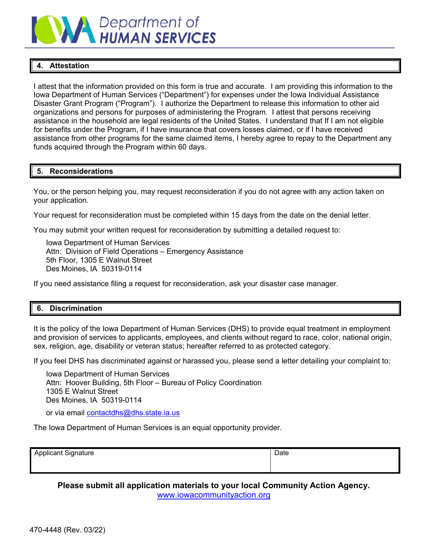

## **4. Attestation**

I attest that the information provided on this form is true and accurate. I am providing this information to the Iowa Department of Human Services ("Department") for expenses under the Iowa Individual Assistance Disaster Grant Program ("Program"). I authorize the Department to release this information to other aid organizations and persons for purposes of administering the Program. I attest that persons receiving assistance in the household are legal residents of the United States. I understand that If I am not eligible for benefits under the Program, if I have insurance that covers losses claimed, or if I have received assistance from other programs for the same claimed items, I hereby agree to repay to the Department any funds acquired through the Program within 60 days.

### **5. Reconsiderations**

You, or the person helping you, may request reconsideration if you do not agree with any action taken on your application.

Your request for reconsideration must be completed within 15 days from the date on the denial letter.

You may submit your written request for reconsideration by submitting a detailed request to:

Iowa Department of Human Services Attn: Division of Field Operations – Emergency Assistance 5th Floor, 1305 E Walnut Street Des Moines, IA 50319-0114

If you need assistance filing a request for reconsideration, ask your disaster case manager.

### **6. Discrimination**

It is the policy of the Iowa Department of Human Services (DHS) to provide equal treatment in employment and provision of services to applicants, employees, and clients without regard to race, color, national origin, sex, religion, age, disability or veteran status; hereafter referred to as protected category.

If you feel DHS has discriminated against or harassed you, please send a letter detailing your complaint to:

Iowa Department of Human Services Attn: Hoover Building, 5th Floor – Bureau of Policy Coordination 1305 E Walnut Street Des Moines, IA 50319-0114

or via email contactdhs@dhs.state.ia.us

The Iowa Department of Human Services is an equal opportunity provider.

Applicant Signature **Date** Date of **Date of Applicant Signature** Date of **Date** 

**Please submit all application materials to your local Community Action Agency.**  www.iowacommunityaction.org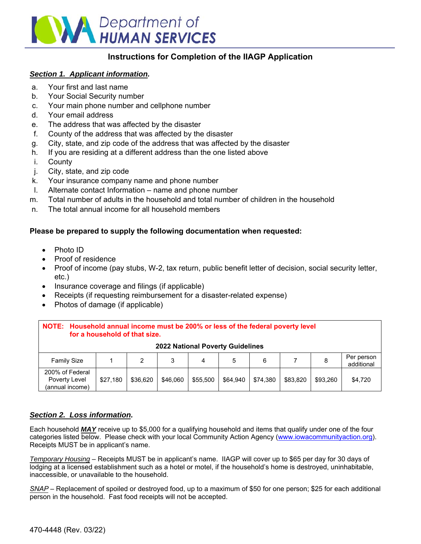

# **Instructions for Completion of the IIAGP Application**

### *Section 1. Applicant information.*

- a. Your first and last name
- b. Your Social Security number
- c. Your main phone number and cellphone number
- d. Your email address
- e. The address that was affected by the disaster
- f. County of the address that was affected by the disaster
- g. City, state, and zip code of the address that was affected by the disaster
- h. If you are residing at a different address than the one listed above
- i. County
- j. City, state, and zip code
- k. Your insurance company name and phone number
- l. Alternate contact Information name and phone number
- m. Total number of adults in the household and total number of children in the household
- n. The total annual income for all household members

### **Please be prepared to supply the following documentation when requested:**

- Photo ID
- Proof of residence
- Proof of income (pay stubs, W-2, tax return, public benefit letter of decision, social security letter, etc.)
- Insurance coverage and filings (if applicable)
- Receipts (if requesting reimbursement for a disaster-related expense)
- Photos of damage (if applicable)

| NOTE: Household annual income must be 200% or less of the federal poverty level<br>for a household of that size. |          |          |          |          |          |          |          |          |                          |  |  |  |  |  |
|------------------------------------------------------------------------------------------------------------------|----------|----------|----------|----------|----------|----------|----------|----------|--------------------------|--|--|--|--|--|
| <b>2022 National Poverty Guidelines</b>                                                                          |          |          |          |          |          |          |          |          |                          |  |  |  |  |  |
| <b>Family Size</b>                                                                                               |          | 2        | 3        | 4        | 5        | 6        |          | 8        | Per person<br>additional |  |  |  |  |  |
| 200% of Federal<br>Poverty Level<br>(annual income)                                                              | \$27,180 | \$36.620 | \$46,060 | \$55,500 | \$64.940 | \$74.380 | \$83,820 | \$93.260 | \$4,720                  |  |  |  |  |  |

### *Section 2. Loss information.*

Each household *MAY* receive up to \$5,000 for a qualifying household and items that qualify under one of the four categories listed below. Please check with your local Community Action Agency (www.iowacommunityaction.org). Receipts MUST be in applicant's name.

*Temporary Housing* – Receipts MUST be in applicant's name. IIAGP will cover up to \$65 per day for 30 days of lodging at a licensed establishment such as a hotel or motel, if the household's home is destroyed, uninhabitable, inaccessible, or unavailable to the household.

*SNAP* – Replacement of spoiled or destroyed food, up to a maximum of \$50 for one person; \$25 for each additional person in the household. Fast food receipts will not be accepted.